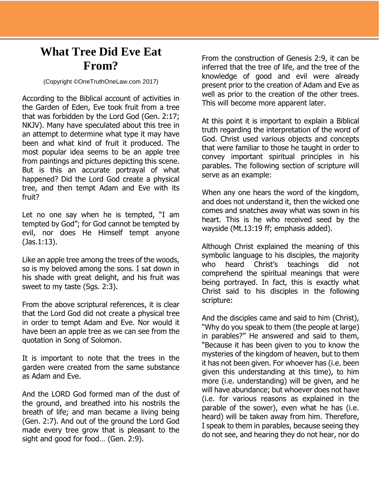## **What Tree Did Eve Eat From?**

(Copyright ©OneTruthOneLaw.com 2017)

According to the Biblical account of activities in the Garden of Eden, Eve took fruit from a tree that was forbidden by the Lord God (Gen. 2:17; NKJV). Many have speculated about this tree in an attempt to determine what type it may have been and what kind of fruit it produced. The most popular idea seems to be an apple tree from paintings and pictures depicting this scene. But is this an accurate portrayal of what happened? Did the Lord God create a physical tree, and then tempt Adam and Eve with its fruit?

Let no one say when he is tempted, "I am tempted by God"; for God cannot be tempted by evil, nor does He Himself tempt anyone (Jas.1:13).

Like an apple tree among the trees of the woods, so is my beloved among the sons. I sat down in his shade with great delight, and his fruit was sweet to my taste (Sgs. 2:3).

From the above scriptural references, it is clear that the Lord God did not create a physical tree in order to tempt Adam and Eve. Nor would it have been an apple tree as we can see from the quotation in Song of Solomon.

It is important to note that the trees in the garden were created from the same substance as Adam and Eve.

And the LORD God formed man of the dust of the ground, and breathed into his nostrils the breath of life; and man became a living being (Gen. 2:7). And out of the ground the Lord God made every tree grow that is pleasant to the sight and good for food… (Gen. 2:9).

From the construction of Genesis 2:9, it can be inferred that the tree of life, and the tree of the knowledge of good and evil were already present prior to the creation of Adam and Eve as well as prior to the creation of the other trees. This will become more apparent later.

At this point it is important to explain a Biblical truth regarding the interpretation of the word of God. Christ used various objects and concepts that were familiar to those he taught in order to convey important spiritual principles in his parables. The following section of scripture will serve as an example:

When any one hears the word of the kingdom, and does not understand it, then the wicked one comes and snatches away what was sown in his heart. This is he who received seed by the wayside (Mt.13:19 ff; emphasis added).

Although Christ explained the meaning of this symbolic language to his disciples, the majority who heard Christ's teachings did not comprehend the spiritual meanings that were being portrayed. In fact, this is exactly what Christ said to his disciples in the following scripture:

And the disciples came and said to him (Christ), "Why do you speak to them (the people at large) in parables?" He answered and said to them, "Because it has been given to you to know the mysteries of the kingdom of heaven, but to them it has not been given. For whoever has (i.e. been given this understanding at this time), to him more (i.e. understanding) will be given, and he will have abundance; but whoever does not have (i.e. for various reasons as explained in the parable of the sower), even what he has (i.e. heard) will be taken away from him. Therefore, I speak to them in parables, because seeing they do not see, and hearing they do not hear, nor do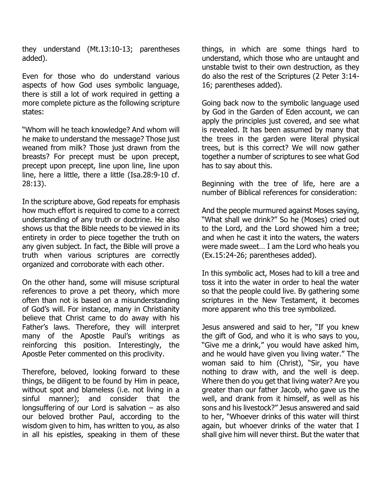they understand (Mt.13:10-13; parentheses added).

Even for those who do understand various aspects of how God uses symbolic language, there is still a lot of work required in getting a more complete picture as the following scripture states:

"Whom will he teach knowledge? And whom will he make to understand the message? Those just weaned from milk? Those just drawn from the breasts? For precept must be upon precept, precept upon precept, line upon line, line upon line, here a little, there a little (Isa.28:9-10 cf. 28:13).

In the scripture above, God repeats for emphasis how much effort is required to come to a correct understanding of any truth or doctrine. He also shows us that the Bible needs to be viewed in its entirety in order to piece together the truth on any given subject. In fact, the Bible will prove a truth when various scriptures are correctly organized and corroborate with each other.

On the other hand, some will misuse scriptural references to prove a pet theory, which more often than not is based on a misunderstanding of God's will. For instance, many in Christianity believe that Christ came to do away with his Father's laws. Therefore, they will interpret many of the Apostle Paul's writings as reinforcing this position. Interestingly, the Apostle Peter commented on this proclivity.

Therefore, beloved, looking forward to these things, be diligent to be found by Him in peace, without spot and blameless (i.e. not living in a sinful manner); and consider that the longsuffering of our Lord is salvation  $-$  as also our beloved brother Paul, according to the wisdom given to him, has written to you, as also in all his epistles, speaking in them of these things, in which are some things hard to understand, which those who are untaught and unstable twist to their own destruction, as they do also the rest of the Scriptures (2 Peter 3:14- 16; parentheses added).

Going back now to the symbolic language used by God in the Garden of Eden account, we can apply the principles just covered, and see what is revealed. It has been assumed by many that the trees in the garden were literal physical trees, but is this correct? We will now gather together a number of scriptures to see what God has to say about this.

Beginning with the tree of life, here are a number of Biblical references for consideration:

And the people murmured against Moses saying, "What shall we drink?" So he (Moses) cried out to the Lord, and the Lord showed him a tree; and when he cast it into the waters, the waters were made sweet… I am the Lord who heals you (Ex.15:24-26; parentheses added).

In this symbolic act, Moses had to kill a tree and toss it into the water in order to heal the water so that the people could live. By gathering some scriptures in the New Testament, it becomes more apparent who this tree symbolized.

Jesus answered and said to her, "If you knew the gift of God, and who it is who says to you, "Give me a drink," you would have asked him, and he would have given you living water." The woman said to him (Christ), "Sir, you have nothing to draw with, and the well is deep. Where then do you get that living water? Are you greater than our father Jacob, who gave us the well, and drank from it himself, as well as his sons and his livestock?" Jesus answered and said to her, "Whoever drinks of this water will thirst again, but whoever drinks of the water that I shall give him will never thirst. But the water that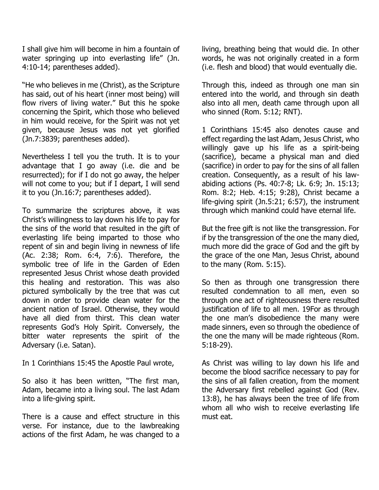I shall give him will become in him a fountain of water springing up into everlasting life" (Jn. 4:10-14; parentheses added).

"He who believes in me (Christ), as the Scripture has said, out of his heart (inner most being) will flow rivers of living water." But this he spoke concerning the Spirit, which those who believed in him would receive, for the Spirit was not yet given, because Jesus was not yet glorified (Jn.7:3839; parentheses added).

Nevertheless I tell you the truth. It is to your advantage that I go away (i.e. die and be resurrected); for if I do not go away, the helper will not come to you; but if I depart, I will send it to you (Jn.16:7; parentheses added).

To summarize the scriptures above, it was Christ's willingness to lay down his life to pay for the sins of the world that resulted in the gift of everlasting life being imparted to those who repent of sin and begin living in newness of life (Ac. 2:38; Rom. 6:4, 7:6). Therefore, the symbolic tree of life in the Garden of Eden represented Jesus Christ whose death provided this healing and restoration. This was also pictured symbolically by the tree that was cut down in order to provide clean water for the ancient nation of Israel. Otherwise, they would have all died from thirst. This clean water represents God's Holy Spirit. Conversely, the bitter water represents the spirit of the Adversary (i.e. Satan).

In 1 Corinthians 15:45 the Apostle Paul wrote,

So also it has been written, "The first man, Adam, became into a living soul. The last Adam into a life-giving spirit.

There is a cause and effect structure in this verse. For instance, due to the lawbreaking actions of the first Adam, he was changed to a

living, breathing being that would die. In other words, he was not originally created in a form (i.e. flesh and blood) that would eventually die.

Through this, indeed as through one man sin entered into the world, and through sin death also into all men, death came through upon all who sinned (Rom. 5:12; RNT).

1 Corinthians 15:45 also denotes cause and effect regarding the last Adam, Jesus Christ, who willingly gave up his life as a spirit-being (sacrifice), became a physical man and died (sacrifice) in order to pay for the sins of all fallen creation. Consequently, as a result of his lawabiding actions (Ps. 40:7-8; Lk. 6:9; Jn. 15:13; Rom. 8:2; Heb. 4:15; 9:28), Christ became a life-giving spirit (Jn.5:21; 6:57), the instrument through which mankind could have eternal life.

But the free gift is not like the transgression. For if by the transgression of the one the many died, much more did the grace of God and the gift by the grace of the one Man, Jesus Christ, abound to the many (Rom. 5:15).

So then as through one transgression there resulted condemnation to all men, even so through one act of righteousness there resulted justification of life to all men. 19For as through the one man's disobedience the many were made sinners, even so through the obedience of the one the many will be made righteous (Rom. 5:18-29).

As Christ was willing to lay down his life and become the blood sacrifice necessary to pay for the sins of all fallen creation, from the moment the Adversary first rebelled against God (Rev. 13:8), he has always been the tree of life from whom all who wish to receive everlasting life must eat.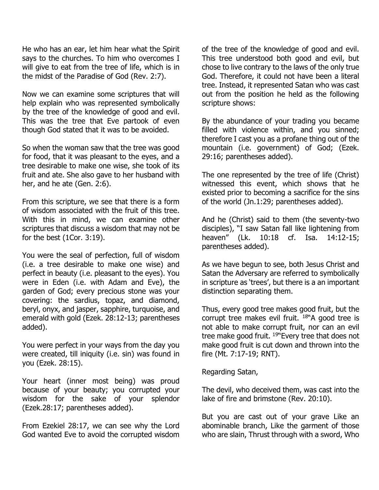He who has an ear, let him hear what the Spirit says to the churches. To him who overcomes I will give to eat from the tree of life, which is in the midst of the Paradise of God (Rev. 2:7).

Now we can examine some scriptures that will help explain who was represented symbolically by the tree of the knowledge of good and evil. This was the tree that Eve partook of even though God stated that it was to be avoided.

So when the woman saw that the tree was good for food, that it was pleasant to the eyes, and a tree desirable to make one wise, she took of its fruit and ate. She also gave to her husband with her, and he ate (Gen. 2:6).

From this scripture, we see that there is a form of wisdom associated with the fruit of this tree. With this in mind, we can examine other scriptures that discuss a wisdom that may not be for the best (1Cor. 3:19).

You were the seal of perfection, full of wisdom (i.e. a tree desirable to make one wise) and perfect in beauty (i.e. pleasant to the eyes). You were in Eden (i.e. with Adam and Eve), the garden of God; every precious stone was your covering: the sardius, topaz, and diamond, beryl, onyx, and jasper, sapphire, turquoise, and emerald with gold (Ezek. 28:12-13; parentheses added).

You were perfect in your ways from the day you were created, till iniquity (i.e. sin) was found in you (Ezek. 28:15).

Your heart (inner most being) was proud because of your beauty; you corrupted your wisdom for the sake of your splendor (Ezek.28:17; parentheses added).

From Ezekiel 28:17, we can see why the Lord God wanted Eve to avoid the corrupted wisdom of the tree of the knowledge of good and evil. This tree understood both good and evil, but chose to live contrary to the laws of the only true God. Therefore, it could not have been a literal tree. Instead, it represented Satan who was cast out from the position he held as the following scripture shows:

By the abundance of your trading you became filled with violence within, and you sinned; therefore I cast you as a profane thing out of the mountain (i.e. government) of God; (Ezek. 29:16; parentheses added).

The one represented by the tree of life (Christ) witnessed this event, which shows that he existed prior to becoming a sacrifice for the sins of the world (Jn.1:29; parentheses added).

And he (Christ) said to them (the seventy-two disciples), "I saw Satan fall like lightening from heaven" (Lk. 10:18 cf. Isa. 14:12-15; parentheses added).

As we have begun to see, both Jesus Christ and Satan the Adversary are referred to symbolically in scripture as 'trees', but there is a an important distinction separating them.

Thus, every good tree makes good fruit, but the corrupt tree makes evil fruit.  $18^n$ A good tree is not able to make corrupt fruit, nor can an evil tree make good fruit.  $19$ <sup>w</sup> Every tree that does not make good fruit is cut down and thrown into the fire (Mt. 7:17-19; RNT).

Regarding Satan,

The devil, who deceived them, was cast into the lake of fire and brimstone (Rev. 20:10).

But you are cast out of your grave Like an abominable branch, Like the garment of those who are slain, Thrust through with a sword, Who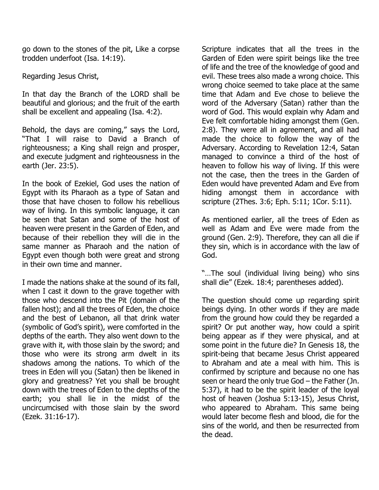go down to the stones of the pit, Like a corpse trodden underfoot (Isa. 14:19).

Regarding Jesus Christ,

In that day the Branch of the LORD shall be beautiful and glorious; and the fruit of the earth shall be excellent and appealing (Isa. 4:2).

Behold, the days are coming," says the Lord, "That I will raise to David a Branch of righteousness; a King shall reign and prosper, and execute judgment and righteousness in the earth (Jer. 23:5).

In the book of Ezekiel, God uses the nation of Egypt with its Pharaoh as a type of Satan and those that have chosen to follow his rebellious way of living. In this symbolic language, it can be seen that Satan and some of the host of heaven were present in the Garden of Eden, and because of their rebellion they will die in the same manner as Pharaoh and the nation of Egypt even though both were great and strong in their own time and manner.

I made the nations shake at the sound of its fall, when I cast it down to the grave together with those who descend into the Pit (domain of the fallen host); and all the trees of Eden, the choice and the best of Lebanon, all that drink water (symbolic of God's spirit), were comforted in the depths of the earth. They also went down to the grave with it, with those slain by the sword; and those who were its strong arm dwelt in its shadows among the nations. To which of the trees in Eden will you (Satan) then be likened in glory and greatness? Yet you shall be brought down with the trees of Eden to the depths of the earth; you shall lie in the midst of the uncircumcised with those slain by the sword (Ezek. 31:16-17).

Scripture indicates that all the trees in the Garden of Eden were spirit beings like the tree of life and the tree of the knowledge of good and evil. These trees also made a wrong choice. This wrong choice seemed to take place at the same time that Adam and Eve chose to believe the word of the Adversary (Satan) rather than the word of God. This would explain why Adam and Eve felt comfortable hiding amongst them (Gen. 2:8). They were all in agreement, and all had made the choice to follow the way of the Adversary. According to Revelation 12:4, Satan managed to convince a third of the host of heaven to follow his way of living. If this were not the case, then the trees in the Garden of Eden would have prevented Adam and Eve from hiding amongst them in accordance with scripture (2Thes. 3:6; Eph. 5:11; 1Cor. 5:11).

As mentioned earlier, all the trees of Eden as well as Adam and Eve were made from the ground (Gen. 2:9). Therefore, they can all die if they sin, which is in accordance with the law of God.

"…The soul (individual living being) who sins shall die" (Ezek. 18:4; parentheses added).

The question should come up regarding spirit beings dying. In other words if they are made from the ground how could they be regarded a spirit? Or put another way, how could a spirit being appear as if they were physical, and at some point in the future die? In Genesis 18, the spirit-being that became Jesus Christ appeared to Abraham and ate a meal with him. This is confirmed by scripture and because no one has seen or heard the only true God – the Father (Jn. 5:37), it had to be the spirit leader of the loyal host of heaven (Joshua 5:13-15), Jesus Christ, who appeared to Abraham. This same being would later become flesh and blood, die for the sins of the world, and then be resurrected from the dead.